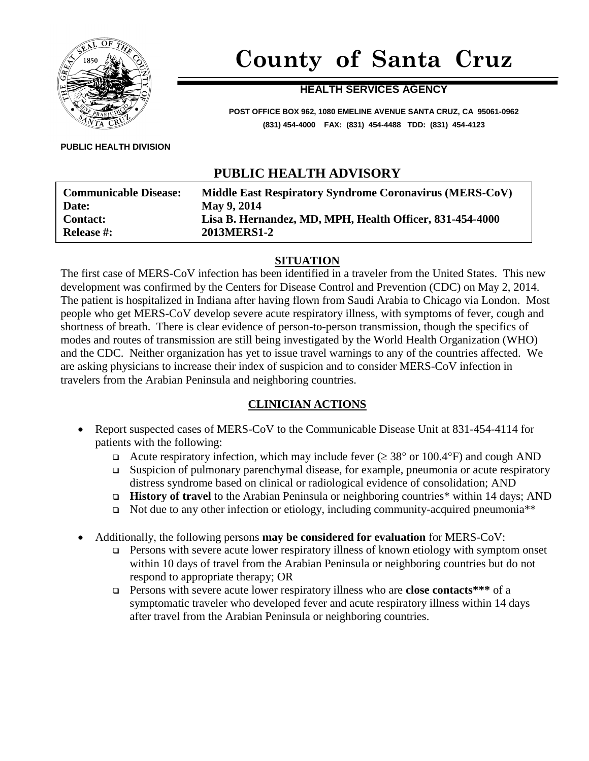

# **County of Santa Cruz**

#### **HEALTH SERVICES AGENCY**

**POST OFFICE BOX 962, 1080 EMELINE AVENUE SANTA CRUZ, CA 95061-0962 (831) 454-4000 FAX: (831) 454-4488 TDD: (831) 454-4123**

**PUBLIC HEALTH DIVISION**

## **PUBLIC HEALTH ADVISORY**

| <b>Communicable Disease:</b> | Middle East Respiratory Syndrome Coronavirus (MERS-CoV)  |
|------------------------------|----------------------------------------------------------|
| Date:                        | May 9, 2014                                              |
| <b>Contact:</b>              | Lisa B. Hernandez, MD, MPH, Health Officer, 831-454-4000 |
| <b>Release #:</b>            | 2013MERS1-2                                              |

#### **SITUATION**

The first case of MERS-CoV infection has been identified in a traveler from the United States. This new development was confirmed by the Centers for Disease Control and Prevention (CDC) on May 2, 2014. The patient is hospitalized in Indiana after having flown from Saudi Arabia to Chicago via London. Most people who get MERS-CoV develop severe acute respiratory illness, with symptoms of fever, cough and shortness of breath. There is clear evidence of person-to-person transmission, though the specifics of modes and routes of transmission are still being investigated by the World Health Organization (WHO) and the CDC. Neither organization has yet to issue travel warnings to any of the countries affected. We are asking physicians to increase their index of suspicion and to consider MERS-CoV infection in travelers from the Arabian Peninsula and neighboring countries.

#### **CLINICIAN ACTIONS**

- Report suspected cases of MERS-CoV to the Communicable Disease Unit at 831-454-4114 for patients with the following:
	- Acute respiratory infection, which may include fever  $(\geq 38^{\circ} \text{ or } 100.4^{\circ} \text{F})$  and cough AND
	- Suspicion of pulmonary parenchymal disease, for example, pneumonia or acute respiratory distress syndrome based on clinical or radiological evidence of consolidation; AND
	- **History of travel** to the Arabian Peninsula or neighboring countries\* within 14 days; AND
	- $\Box$  Not due to any other infection or etiology, including community-acquired pneumonia<sup>\*\*</sup>
- Additionally, the following persons **may be considered for evaluation** for MERS-CoV:
	- □ Persons with severe acute lower respiratory illness of known etiology with symptom onset within 10 days of travel from the Arabian Peninsula or neighboring countries but do not respond to appropriate therapy; OR
	- Persons with severe acute lower respiratory illness who are **close contacts\*\*\*** of a symptomatic traveler who developed fever and acute respiratory illness within 14 days after travel from the Arabian Peninsula or neighboring countries.